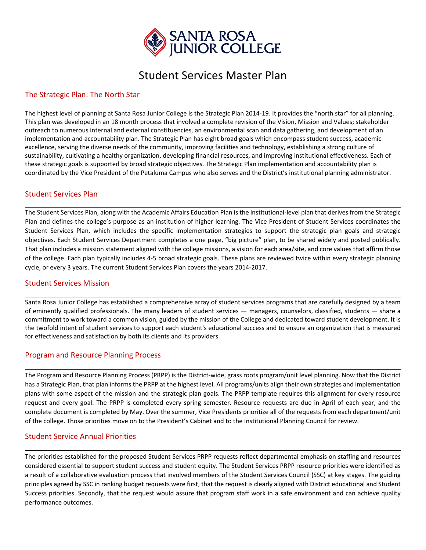

#### Student Services Master Plan

<u> 1989 - Johann Stoff, die der Stoffenstellung im dem Stoffenstellung im dem Stoffenstellung im dem Stoffenstell</u>

#### The Strategic Plan: The North Star

The highest level of planning at Santa Rosa Junior College is the Strategic Plan 2014‐19. It provides the "north star" for all planning. This plan was developed in an 18 month process that involved a complete revision of the Vision, Mission and Values; stakeholder outreach to numerous internal and external constituencies, an environmental scan and data gathering, and development of an implementation and accountability plan. The Strategic Plan has eight broad goals which encompass student success, academic excellence, serving the diverse needs of the community, improving facilities and technology, establishing a strong culture of sustainability, cultivating a healthy organization, developing financial resources, and improving institutional effectiveness. Each of these strategic goals is supported by broad strategic objectives. The Strategic Plan implementation and accountability plan is coordinated by the Vice President of the Petaluma Campus who also serves and the District's institutional planning administrator.

#### Student Services Plan

The Student Services Plan, along with the Academic Affairs Education Plan is the institutional‐level plan that derives from the Strategic Plan and defines the college's purpose as an institution of higher learning. The Vice President of Student Services coordinates the Student Services Plan, which includes the specific implementation strategies to support the strategic plan goals and strategic objectives. Each Student Services Department completes a one page, "big picture" plan, to be shared widely and posted publically. That plan includes a mission statement aligned with the college missions, a vision for each area/site, and core values that affirm those of the college. Each plan typically includes 4‐5 broad strategic goals. These plans are reviewed twice within every strategic planning cycle, or every 3 years. The current Student Services Plan covers the years 2014‐2017.

<u> 1989 - Andrea Barbara, amerikana amerikana amerikana amerikana amerikana amerikana amerikana amerikana amerik</u>

#### Student Services Mission

<u> 1989 - Andrea Barbara, amerikan basar dan berasal di sebagai berasal di sebagai berasal di sebagai berasal d</u> Santa Rosa Junior College has established a comprehensive array of student services programs that are carefully designed by a team of eminently qualified professionals. The many leaders of student services — managers, counselors, classified, students — share a commitment to work toward a common vision, guided by the mission of the College and dedicated toward student development. It is the twofold intent of student services to support each student's educational success and to ensure an organization that is measured for effectiveness and satisfaction by both its clients and its providers.

#### Program and Resource Planning Process

The Program and Resource Planning Process (PRPP) is the District‐wide, grass roots program/unit level planning. Now that the District has a Strategic Plan, that plan informs the PRPP at the highest level. All programs/units align their own strategies and implementation plans with some aspect of the mission and the strategic plan goals. The PRPP template requires this alignment for every resource request and every goal. The PRPP is completed every spring semester. Resource requests are due in April of each year, and the complete document is completed by May. Over the summer, Vice Presidents prioritize all of the requests from each department/unit of the college. Those priorities move on to the President's Cabinet and to the Institutional Planning Council for review.

<u> 1989 - Andrea Barbara, amerikana amerikana amerikana amerikana amerikana amerikana amerikana amerikana amerik</u>

#### Student Service Annual Priorities

The priorities established for the proposed Student Services PRPP requests reflect departmental emphasis on staffing and resources considered essential to support student success and student equity. The Student Services PRPP resource priorities were identified as a result of a collaborative evaluation process that involved members of the Student Services Council (SSC) at key stages. The guiding principles agreed by SSC in ranking budget requests were first, that the request is clearly aligned with District educational and Student Success priorities. Secondly, that the request would assure that program staff work in a safe environment and can achieve quality performance outcomes.

<u> 1989 - Andrea Barbara, amerikana amerikana amerikana amerikana amerikana amerikana amerikana amerikana amerik</u>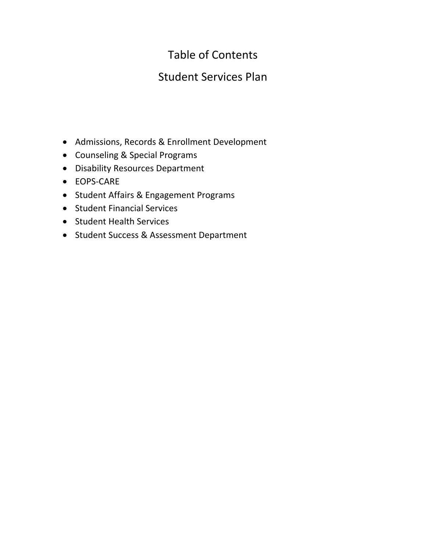#### Table of Contents

#### Student Services Plan

- Admissions, Records & Enrollment Development
- Counseling & Special Programs
- Disability Resources Department
- EOPS-CARE
- Student Affairs & Engagement Programs
- **•** Student Financial Services
- Student Health Services
- Student Success & Assessment Department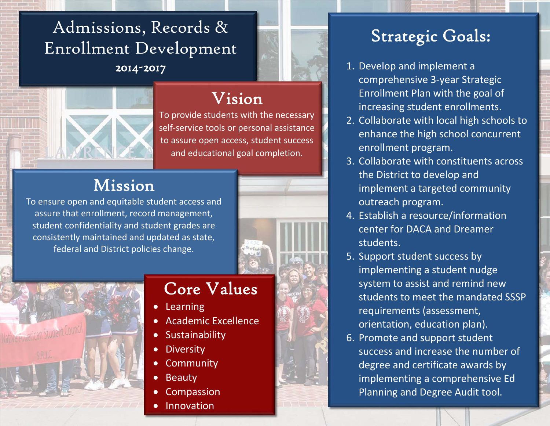## Admissions, Records & Enrollment Development 2014-2017



#### Vision

To provide students with the necessary self‐service tools or personal assistance to assure open access, student success and educational goal completion.

### Mission

To ensure open and equitable student access and assure that enrollment, record management, student confidentiality and student grades are consistently maintained and updated as state, federal and District policies change.





#### Core Values

- $\bullet$ Learning
- 0 Academic Excellence
- $\bullet$ Sustainability
- $\bullet$ **Diversity**
- $\bullet$ **Community**
- $\bullet$ Beauty

0

- 0 Compassion
- Innovation

- 1. Develop and implement acomprehensive 3‐year Strategic Enrollment Plan with the goal of increasing student enrollments.
- 2. Collaborate with local high schools to enhance the high school concurrent enrollment program.
- 3. Collaborate with constituents across the District to develop and implement a targeted community outreach program.
- 4. Establish a resource/information center for DACA and Dreamer students.
- 5. Support student success by implementing a student nudge system to assist and remind new students to meet the mandated SSSP requirements (assessment, orientation, education plan).
- 6. Promote and support student success and increase the number of degree and certificate awards by implementing a comprehensive Ed Planning and Degree Audit tool.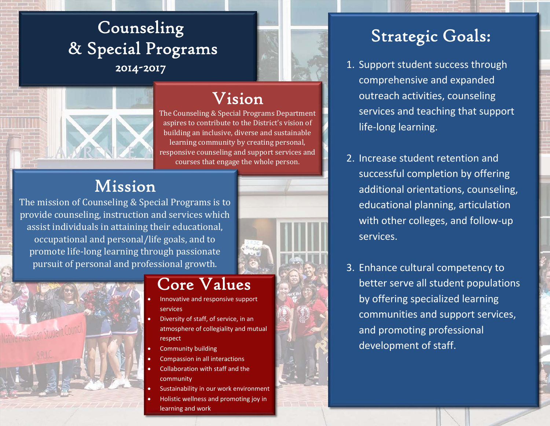## Counseling & Special Programs 2014-2017



#### Vision

The Counseling & Special Programs Department aspires to contribute to the District's vision of building an inclusive, diverse and sustainable learning community by creating personal, responsive counseling and support services and courses that engage the whole person.

#### Mission

The mission of Counseling  $&$  Special Programs is to provide counseling, instruction and services which assist individuals in attaining their educational, occupational and personal/life goals, and to promote life-long learning through passionate pursuit of personal and professional growth.



## Core Values

- Innovative and responsive support services
- Diversity of staff, of service, in an atmosphere of collegiality and mutual respect
- Community building
- Compassion in all interactions
- Collaboration with staff and the community
- Sustainability in our work environment
- Holistic wellness and promoting joy in learning and work

- 1. Support student success through comprehensive and expanded outreach activities, counseling services and teaching that support life‐long learning.
- 2. Increase student retention and successful completion by offering additional orientations, counseling, educational planning, articulation with other colleges, and follow‐up services.
- 3. Enhance cultural competency to better serve all student populations by offering specialized learning communities and support services, and promoting professional development of staff.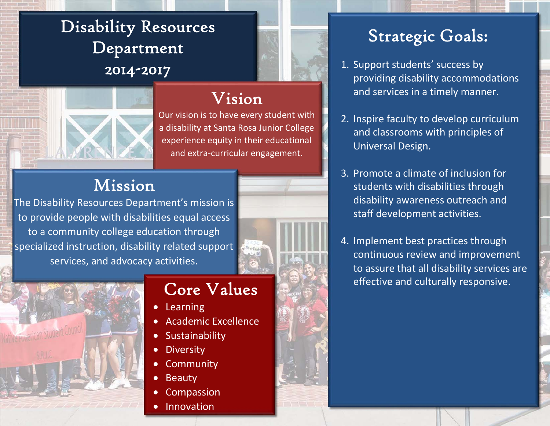## Disability Resources Department 2014-2017



#### Vision

Our vision is to have every student with a disability at Santa Rosa Junior College experience equity in their educational and extra‐curricular engagement.

#### Mission

The Disability Resources Department's mission is to provide people with disabilities equal access to <sup>a</sup> community college education through specialized instruction, disability related support services, and advocacy activities.



#### Core Values

- 0 Learning
- 0 Academic Excellence
- 0 Sustainability
- $\bullet$ **Diversity**
- 0 **Community**
- $\bullet$ Beauty
- 0 Compassion
- 0 Innovation

- 1. Support students' success by providing disability accommodations and services in <sup>a</sup> timely manner.
- 2. Inspire faculty to develop curriculum and classrooms with principles of Universal Design.
- 3. Promote <sup>a</sup> climate of inclusion for students with disabilities through disability awareness outreach and staff development activities.
- 4. Implement best practices through continuous review and improvement to assure that all disability services are effective and culturally responsive.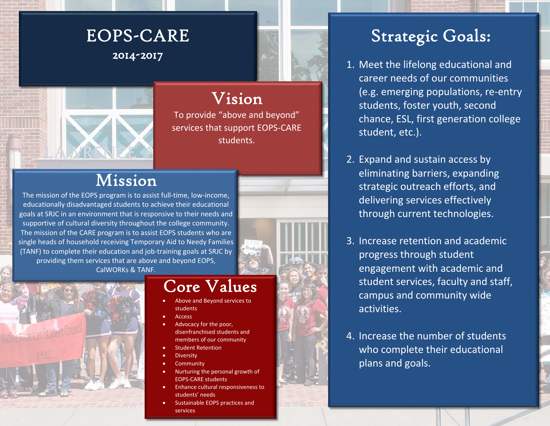#### EOPS-CARE 2014-2017



## Vision

To provide "above and beyond" services that support EOPS‐CARE students.

#### Mission

The mission of the EOPS program is to assist full‐time, low‐income, educationally disadvantaged students to achieve their educational goals at SRJC in an environment that is responsive to their needs and supportive of cultural diversity throughout the college community. The mission of the CARE program is to assist EOPS students who are single heads of household receiving Temporary Aid to Needy Families (TANF) to complete their education and job‐training goals at SRJC by providing them services that are above and beyond EOPS, CalWORKs& TANF.



## Core Values

- . Above and Beyond services to students
- Access

.

.

.

- . Advocacy for the poor, disenfranchised students and members of our community
- . Student Retention
- **Diversity**
- **Community**
- . Nurturing the personal growth of EOPS‐CARE students
- . **•** Enhance cultural responsiveness to students' needs
- . **•** Sustainable EOPS practices and services

- 1. Meet the lifelong educational and career needs of our communities (e.g. emerging populations, re‐entry students, foster youth, second chance, ESL, first generation college student, etc.).
- 2. Expand and sustain access by eliminating barriers, expanding strategic outreach efforts, and delivering services effectively through current technologies.
- 3. Increase retention and academic progress through student engagement with academic and student services, faculty and staff, campus and community wide activities.
- 4. Increase the number of students who complete their educational plans and goals.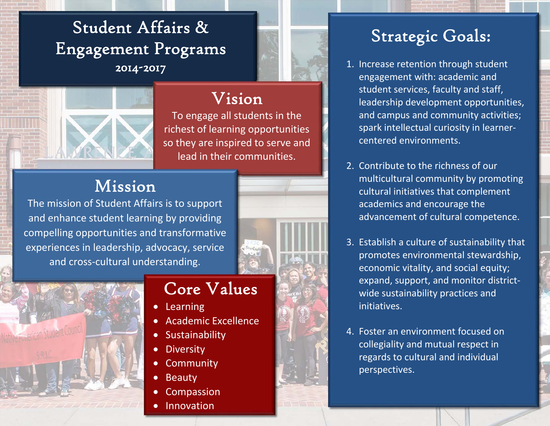Student Affairs & Engagement Programs 2014-2017



#### Vision

To engage all students in the richest of learning opportunities so they are inspired to serve and lead in their communities.

#### Mission

The mission of Student Affairs is to support and enhance student learning by providing compelling opportunities and transformative experiences in leadership, advocacy, service and cross‐cultural understanding.





#### Core Values

- Learning
- 0 Academic Excellence
- $\bullet$ Sustainability
- 0 **Diversity**
- $\bullet$ **Community**
- $\bullet$ Beauty

0

- 0 Compassion
- Innovation

- 1. Increase retention through student engagement with: academic and student services, faculty and staff, leadership development opportunities, and campus and community activities; spark intellectual curiosity in learner‐ centered environments.
- 2. Contribute to the richness of our multicultural community by promoting cultural initiatives that complement academics and encourage the advancement of cultural competence.
- 3. Establish a culture of sustainability that promotes environmental stewardship, economic vitality, and social equity; expand, support, and monitor district‐ wide sustainability practices and initiatives.
- 4. Foster an environment focused on collegiality and mutual respect in regards to cultural and individual perspectives.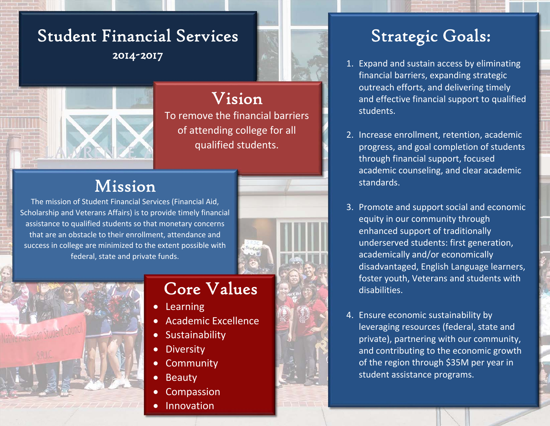## Student Financial Services 2014-2017



## Vision

To remove the financial barriers of attending college for all qualified students.

#### Mission

The mission of Student Financial Services (Financial Aid, Scholarship and Veterans Affairs) is to provide timely financial assistance to qualified students so that monetary concerns that are an obstacle to their enrollment, attendance and success in college are minimized to the extent possible with federal, state and private funds.





### Core Values

- $\bullet$ Learning
- $\bullet$ Academic Excellence
- $\bullet$ **Sustainability**
- 0 **Diversity**
- $\bullet$ **Community**
- $\bullet$ Beauty

0

- 0 Compassion
- Innovation

- 1. Expand and sustain access by eliminating financial barriers, expanding strategic outreach efforts, and delivering timely and effective financial support to qualified students.
- 2. Increase enrollment, retention, academic progress, and goal completion of students through financial support, focused academic counseling, and clear academic standards.
- 3. Promote and support social and economic equity in our community through enhanced support of traditionally underserved students: first generation, academically and/or economically disadvantaged, English Language learners, foster youth, Veterans and students with disabilities.
- 4. Ensure economic sustainability by leveraging resources (federal, state and private), partnering with our community, and contributing to the economic growth of the region through \$35M per year in student assistance programs.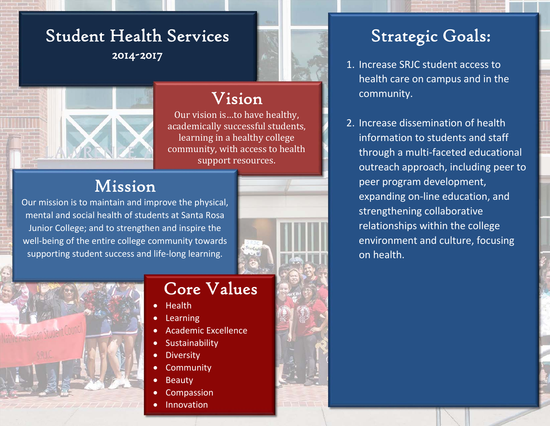### Student Health Services 2014-2017



#### Vision

Our vision is...to have healthy, academically successful students, learning in a healthy college community, with access to health support resources.

### Mission

Our mission is to maintain and improve the physical, mental and social health of students at Santa Rosa Junior College; and to strengthen and inspire the well-being of the entire college community towards supporting student success and life-long learning.





### Core Values

- $\bullet$ **Health**
- $\bullet$ Learning
- $\bullet$ Academic Excellence
- $\bullet$ Sustainability
- **Diversity**

 $\bullet$ 

 $\bullet$ 

 $\bullet$ 

- $\bullet$ **Community** 
	- Beauty
- Compassion
- Innovation

- 1. Increase SRJC student access to health care on campus and in the community.
- 2. Increase dissemination of health information to students and staff through <sup>a</sup> multi‐faceted educational outreach approach, including peer to peer program development, expanding on‐line education, and strengthening collaborative relationships within the college environment and culture, focusing on health.